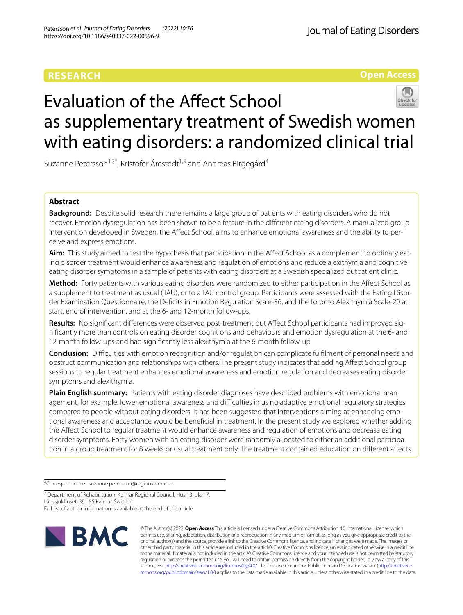# **RESEARCH**

# **Open Access**



Suzanne Petersson<sup>1,2\*</sup>, Kristofer Årestedt<sup>1,3</sup> and Andreas Birgegård<sup>4</sup>

# **Abstract**

**Background:** Despite solid research there remains a large group of patients with eating disorders who do not recover. Emotion dysregulation has been shown to be a feature in the diferent eating disorders. A manualized group intervention developed in Sweden, the Afect School, aims to enhance emotional awareness and the ability to perceive and express emotions.

Aim: This study aimed to test the hypothesis that participation in the Affect School as a complement to ordinary eating disorder treatment would enhance awareness and regulation of emotions and reduce alexithymia and cognitive eating disorder symptoms in a sample of patients with eating disorders at a Swedish specialized outpatient clinic.

**Method:** Forty patients with various eating disorders were randomized to either participation in the Afect School as a supplement to treatment as usual (TAU), or to a TAU control group. Participants were assessed with the Eating Disorder Examination Questionnaire, the Defcits in Emotion Regulation Scale-36, and the Toronto Alexithymia Scale-20 at start, end of intervention, and at the 6- and 12-month follow-ups.

**Results:** No signifcant diferences were observed post-treatment but Afect School participants had improved signifcantly more than controls on eating disorder cognitions and behaviours and emotion dysregulation at the 6- and 12-month follow-ups and had signifcantly less alexithymia at the 6-month follow-up.

**Conclusion:** Difculties with emotion recognition and/or regulation can complicate fulflment of personal needs and obstruct communication and relationships with others. The present study indicates that adding Afect School group sessions to regular treatment enhances emotional awareness and emotion regulation and decreases eating disorder symptoms and alexithymia.

**Plain English summary:** Patients with eating disorder diagnoses have described problems with emotional management, for example: lower emotional awareness and difficulties in using adaptive emotional regulatory strategies compared to people without eating disorders. It has been suggested that interventions aiming at enhancing emotional awareness and acceptance would be benefcial in treatment. In the present study we explored whether adding the Afect School to regular treatment would enhance awareness and regulation of emotions and decrease eating disorder symptoms. Forty women with an eating disorder were randomly allocated to either an additional participation in a group treatment for 8 weeks or usual treatment only. The treatment contained education on diferent afects

\*Correspondence: suzanne.petersson@regionkalmar.se

Full list of author information is available at the end of the article



© The Author(s) 2022. **Open Access** This article is licensed under a Creative Commons Attribution 4.0 International License, which permits use, sharing, adaptation, distribution and reproduction in any medium or format, as long as you give appropriate credit to the original author(s) and the source, provide a link to the Creative Commons licence, and indicate if changes were made. The images or other third party material in this article are included in the article's Creative Commons licence, unless indicated otherwise in a credit line to the material. If material is not included in the article's Creative Commons licence and your intended use is not permitted by statutory regulation or exceeds the permitted use, you will need to obtain permission directly from the copyright holder. To view a copy of this licence, visit [http://creativecommons.org/licenses/by/4.0/.](http://creativecommons.org/licenses/by/4.0/) The Creative Commons Public Domain Dedication waiver ([http://creativeco](http://creativecommons.org/publicdomain/zero/1.0/) [mmons.org/publicdomain/zero/1.0/](http://creativecommons.org/publicdomain/zero/1.0/)) applies to the data made available in this article, unless otherwise stated in a credit line to the data.

<sup>&</sup>lt;sup>2</sup> Department of Rehabilitation, Kalmar Regional Council, Hus 13, plan 7, Länssjukhuset, 391 85 Kalmar, Sweden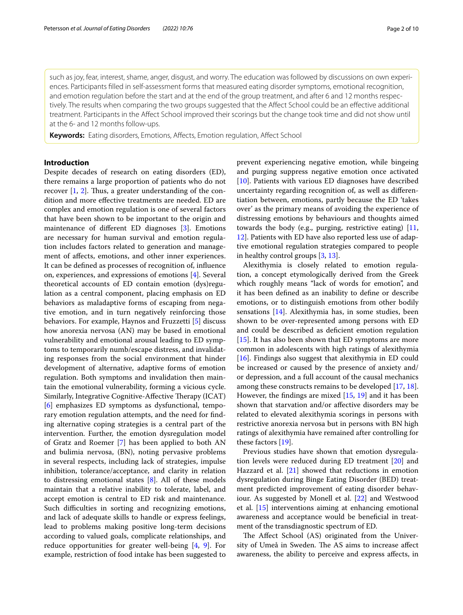such as joy, fear, interest, shame, anger, disgust, and worry. The education was followed by discussions on own experiences. Participants flled in self-assessment forms that measured eating disorder symptoms, emotional recognition, and emotion regulation before the start and at the end of the group treatment, and after 6 and 12 months respectively. The results when comparing the two groups suggested that the Afect School could be an efective additional treatment. Participants in the Afect School improved their scorings but the change took time and did not show until at the 6- and 12 months follow-ups.

**Keywords:** Eating disorders, Emotions, Afects, Emotion regulation, Afect School

# **Introduction**

Despite decades of research on eating disorders (ED), there remains a large proportion of patients who do not recover  $[1, 2]$  $[1, 2]$  $[1, 2]$  $[1, 2]$ . Thus, a greater understanding of the condition and more efective treatments are needed. ED are complex and emotion regulation is one of several factors that have been shown to be important to the origin and maintenance of diferent ED diagnoses [[3](#page-8-2)]. Emotions are necessary for human survival and emotion regulation includes factors related to generation and management of afects, emotions, and other inner experiences. It can be defned as processes of recognition of, infuence on, experiences, and expressions of emotions [[4\]](#page-8-3). Several theoretical accounts of ED contain emotion (dys)regulation as a central component, placing emphasis on ED behaviors as maladaptive forms of escaping from negative emotion, and in turn negatively reinforcing those behaviors. For example, Haynos and Fruzzetti [[5](#page-8-4)] discuss how anorexia nervosa (AN) may be based in emotional vulnerability and emotional arousal leading to ED symptoms to temporarily numb/escape distress, and invalidating responses from the social environment that hinder development of alternative, adaptive forms of emotion regulation. Both symptoms and invalidation then maintain the emotional vulnerability, forming a vicious cycle. Similarly, Integrative Cognitive-Affective Therapy (ICAT) [[6\]](#page-8-5) emphasizes ED symptoms as dysfunctional, temporary emotion regulation attempts, and the need for fnding alternative coping strategies is a central part of the intervention. Further, the emotion dysregulation model of Gratz and Roemer [[7\]](#page-8-6) has been applied to both AN and bulimia nervosa, (BN), noting pervasive problems in several respects, including lack of strategies, impulse inhibition, tolerance/acceptance, and clarity in relation to distressing emotional states [[8\]](#page-8-7). All of these models maintain that a relative inability to tolerate, label, and accept emotion is central to ED risk and maintenance. Such difficulties in sorting and recognizing emotions, and lack of adequate skills to handle or express feelings, lead to problems making positive long-term decisions according to valued goals, complicate relationships, and reduce opportunities for greater well-being [[4,](#page-8-3) [9\]](#page-8-8). For example, restriction of food intake has been suggested to prevent experiencing negative emotion, while bingeing and purging suppress negative emotion once activated [[10\]](#page-8-9). Patients with various ED diagnoses have described uncertainty regarding recognition of, as well as diferentiation between, emotions, partly because the ED 'takes over' as the primary means of avoiding the experience of distressing emotions by behaviours and thoughts aimed towards the body (e.g., purging, restrictive eating) [[11](#page-8-10), [12\]](#page-8-11). Patients with ED have also reported less use of adaptive emotional regulation strategies compared to people in healthy control groups [[3,](#page-8-2) [13](#page-8-12)].

Alexithymia is closely related to emotion regulation, a concept etymologically derived from the Greek which roughly means "lack of words for emotion", and it has been defned as an inability to defne or describe emotions, or to distinguish emotions from other bodily sensations [[14\]](#page-8-13). Alexithymia has, in some studies, been shown to be over-represented among persons with ED and could be described as deficient emotion regulation [[15\]](#page-8-14). It has also been shown that ED symptoms are more common in adolescents with high ratings of alexithymia [[16\]](#page-8-15). Findings also suggest that alexithymia in ED could be increased or caused by the presence of anxiety and/ or depression, and a full account of the causal mechanics among these constructs remains to be developed [[17,](#page-8-16) [18](#page-9-0)]. However, the fndings are mixed [[15](#page-8-14), [19](#page-9-1)] and it has been shown that starvation and/or afective disorders may be related to elevated alexithymia scorings in persons with restrictive anorexia nervosa but in persons with BN high ratings of alexithymia have remained after controlling for these factors [[19\]](#page-9-1).

Previous studies have shown that emotion dysregulation levels were reduced during ED treatment [[20](#page-9-2)] and Hazzard et al.  $[21]$  $[21]$  showed that reductions in emotion dysregulation during Binge Eating Disorder (BED) treatment predicted improvement of eating disorder behaviour. As suggested by Monell et al. [\[22](#page-9-4)] and Westwood et al. [[15](#page-8-14)] interventions aiming at enhancing emotional awareness and acceptance would be benefcial in treatment of the transdiagnostic spectrum of ED.

The Affect School (AS) originated from the University of Umeå in Sweden. The AS aims to increase affect awareness, the ability to perceive and express afects, in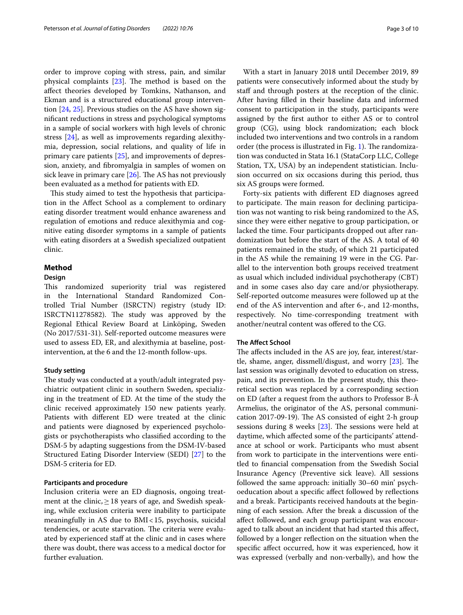order to improve coping with stress, pain, and similar physical complaints  $[23]$  $[23]$ . The method is based on the afect theories developed by Tomkins, Nathanson, and Ekman and is a structured educational group intervention [\[24,](#page-9-6) [25\]](#page-9-7). Previous studies on the AS have shown signifcant reductions in stress and psychological symptoms in a sample of social workers with high levels of chronic stress [\[24](#page-9-6)], as well as improvements regarding alexithymia, depression, social relations, and quality of life in primary care patients [[25\]](#page-9-7), and improvements of depression, anxiety, and fbromyalgia in samples of women on sick leave in primary care  $[26]$ . The AS has not previously been evaluated as a method for patients with ED.

This study aimed to test the hypothesis that participation in the Afect School as a complement to ordinary eating disorder treatment would enhance awareness and regulation of emotions and reduce alexithymia and cognitive eating disorder symptoms in a sample of patients with eating disorders at a Swedish specialized outpatient clinic.

# **Method**

# **Design**

This randomized superiority trial was registered in the International Standard Randomized Controlled Trial Number (ISRCTN) registry (study ID: ISRCTN11278582). The study was approved by the Regional Ethical Review Board at Linköping, Sweden (No 2017/531-31). Self-reported outcome measures were used to assess ED, ER, and alexithymia at baseline, postintervention, at the 6 and the 12-month follow-ups.

# **Study setting**

The study was conducted at a youth/adult integrated psychiatric outpatient clinic in southern Sweden, specializing in the treatment of ED. At the time of the study the clinic received approximately 150 new patients yearly. Patients with diferent ED were treated at the clinic and patients were diagnosed by experienced psychologists or psychotherapists who classifed according to the DSM-5 by adapting suggestions from the DSM-IV-based Structured Eating Disorder Interview (SEDI) [\[27](#page-9-9)] to the DSM-5 criteria for ED.

## **Participants and procedure**

Inclusion criteria were an ED diagnosis, ongoing treatment at the clinic,  $\geq$  18 years of age, and Swedish speaking, while exclusion criteria were inability to participate meaningfully in AS due to BMI<15, psychosis, suicidal tendencies, or acute starvation. The criteria were evaluated by experienced staff at the clinic and in cases where there was doubt, there was access to a medical doctor for further evaluation.

With a start in January 2018 until December 2019, 89 patients were consecutively informed about the study by staff and through posters at the reception of the clinic. After having flled in their baseline data and informed consent to participation in the study, participants were assigned by the frst author to either AS or to control group (CG), using block randomization; each block included two interventions and two controls in a random order (the process is illustrated in Fig. [1\)](#page-3-0). The randomization was conducted in Stata 16.1 (StataCorp LLC, College Station, TX, USA) by an independent statistician. Inclusion occurred on six occasions during this period, thus six AS groups were formed.

Forty-six patients with diferent ED diagnoses agreed to participate. The main reason for declining participation was not wanting to risk being randomized to the AS, since they were either negative to group participation, or lacked the time. Four participants dropped out after randomization but before the start of the AS. A total of 40 patients remained in the study, of which 21 participated in the AS while the remaining 19 were in the CG. Parallel to the intervention both groups received treatment as usual which included individual psychotherapy (CBT) and in some cases also day care and/or physiotherapy. Self-reported outcome measures were followed up at the end of the AS intervention and after 6-, and 12-months, respectively. No time-corresponding treatment with another/neutral content was ofered to the CG.

# **The Afect School**

The affects included in the AS are joy, fear, interest/startle, shame, anger, dissmell/disgust, and worry  $[23]$ . The last session was originally devoted to education on stress, pain, and its prevention. In the present study, this theoretical section was replaced by a corresponding section on ED (after a request from the authors to Professor B-Å Armelius, the originator of the AS, personal communication 2017-09-19). The AS consisted of eight 2-h group sessions during 8 weeks  $[23]$  $[23]$ . The sessions were held at daytime, which afected some of the participants' attendance at school or work. Participants who must absent from work to participate in the interventions were entitled to fnancial compensation from the Swedish Social Insurance Agency (Preventive sick leave). All sessions followed the same approach: initially 30–60 min' psychoeducation about a specifc afect followed by refections and a break. Participants received handouts at the beginning of each session. After the break a discussion of the afect followed, and each group participant was encouraged to talk about an incident that had started this afect, followed by a longer refection on the situation when the specifc afect occurred, how it was experienced, how it was expressed (verbally and non-verbally), and how the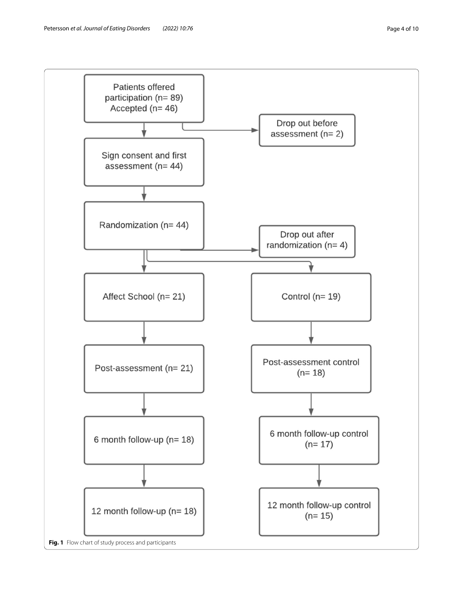<span id="page-3-0"></span>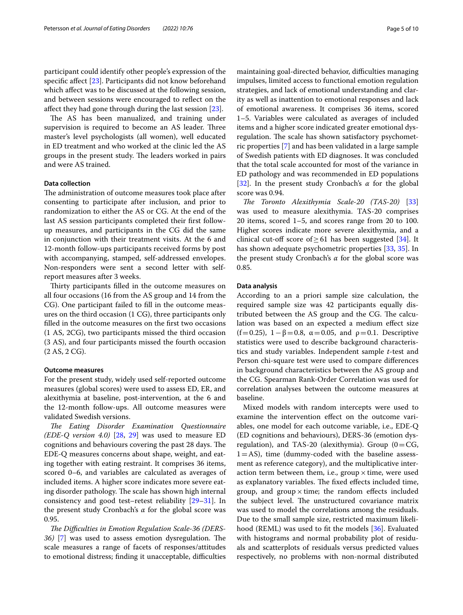participant could identify other people's expression of the specific affect [[23\]](#page-9-5). Participants did not know beforehand which afect was to be discussed at the following session, and between sessions were encouraged to refect on the affect they had gone through during the last session [\[23](#page-9-5)].

The AS has been manualized, and training under supervision is required to become an AS leader. Three master's level psychologists (all women), well educated in ED treatment and who worked at the clinic led the AS groups in the present study. The leaders worked in pairs and were AS trained.

# **Data collection**

The administration of outcome measures took place after consenting to participate after inclusion, and prior to randomization to either the AS or CG. At the end of the last AS session participants completed their frst followup measures, and participants in the CG did the same in conjunction with their treatment visits. At the 6 and 12-month follow-ups participants received forms by post with accompanying, stamped, self-addressed envelopes. Non-responders were sent a second letter with selfreport measures after 3 weeks.

Thirty participants filled in the outcome measures on all four occasions (16 from the AS group and 14 from the CG). One participant failed to fll in the outcome measures on the third occasion (1 CG), three participants only flled in the outcome measures on the frst two occasions (1 AS, 2CG), two participants missed the third occasion (3 AS), and four participants missed the fourth occasion (2 AS, 2 CG).

#### **Outcome measures**

For the present study, widely used self-reported outcome measures (global scores) were used to assess ED, ER, and alexithymia at baseline, post-intervention, at the 6 and the 12-month follow-ups. All outcome measures were validated Swedish versions.

*Te Eating Disorder Examination Questionnaire (EDE-Q version 4.0)* [\[28,](#page-9-10) [29](#page-9-11)] was used to measure ED cognitions and behaviours covering the past 28 days. The EDE-Q measures concerns about shape, weight, and eating together with eating restraint. It comprises 36 items, scored 0–6, and variables are calculated as averages of included items. A higher score indicates more severe eating disorder pathology. The scale has shown high internal consistency and good test–retest reliability [\[29](#page-9-11)[–31](#page-9-12)]. In the present study Cronbach's *α* for the global score was 0.95.

The Difficulties in Emotion Regulation Scale-36 (DERS-*36)* [\[7](#page-8-6)] was used to assess emotion dysregulation. The scale measures a range of facets of responses/attitudes to emotional distress; finding it unacceptable, difficulties maintaining goal-directed behavior, difficulties managing impulses, limited access to functional emotion regulation strategies, and lack of emotional understanding and clarity as well as inattention to emotional responses and lack of emotional awareness. It comprises 36 items, scored 1–5. Variables were calculated as averages of included items and a higher score indicated greater emotional dysregulation. The scale has shown satisfactory psychometric properties [\[7](#page-8-6)] and has been validated in a large sample of Swedish patients with ED diagnoses. It was concluded that the total scale accounted for most of the variance in ED pathology and was recommended in ED populations [[32\]](#page-9-13). In the present study Cronbach's *α* for the global score was 0.94.

*Te Toronto Alexithymia Scale-20 (TAS-20)* [[33](#page-9-14)] was used to measure alexithymia. TAS-20 comprises 20 items, scored 1–5, and scores range from 20 to 100. Higher scores indicate more severe alexithymia, and a clinical cut-off score of  $\geq$  61 has been suggested [\[34](#page-9-15)]. It has shown adequate psychometric properties [[33,](#page-9-14) [35\]](#page-9-16). In the present study Cronbach's *α* for the global score was 0.85.

#### **Data analysis**

According to an a priori sample size calculation, the required sample size was 42 participants equally distributed between the AS group and the CG. The calculation was based on an expected a medium efect size (f=0.25),  $1-\beta$ =0.8,  $\alpha$ =0.05, and  $\rho$ =0.1. Descriptive statistics were used to describe background characteristics and study variables. Independent sample *t*-test and Person chi-square test were used to compare diferences in background characteristics between the AS group and the CG. Spearman Rank-Order Correlation was used for correlation analyses between the outcome measures at baseline.

Mixed models with random intercepts were used to examine the intervention efect on the outcome variables, one model for each outcome variable, i.e., EDE-Q (ED cognitions and behaviours), DERS-36 (emotion dysregulation), and TAS-20 (alexithymia). Group  $(0=CG,$  $1 = AS$ ), time (dummy-coded with the baseline assessment as reference category), and the multiplicative interaction term between them, i.e., group  $\times$  time, were used as explanatory variables. The fixed effects included time, group, and group  $\times$  time; the random effects included the subject level. The unstructured covariance matrix was used to model the correlations among the residuals. Due to the small sample size, restricted maximum likelihood (REML) was used to ft the models [[36](#page-9-17)]. Evaluated with histograms and normal probability plot of residuals and scatterplots of residuals versus predicted values respectively, no problems with non-normal distributed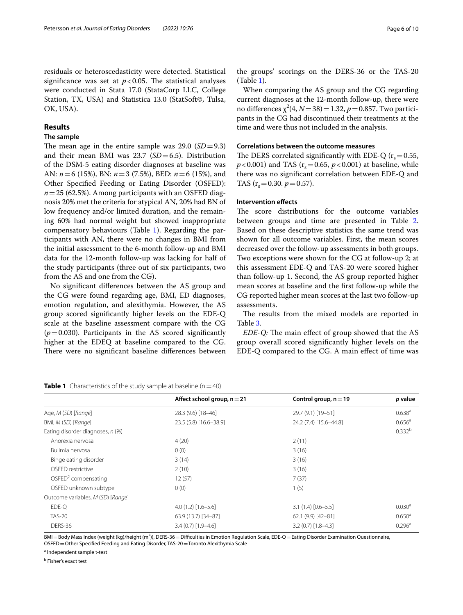residuals or heteroscedasticity were detected. Statistical significance was set at  $p < 0.05$ . The statistical analyses were conducted in Stata 17.0 (StataCorp LLC, College Station, TX, USA) and Statistica 13.0 (StatSoft©, Tulsa, OK, USA).

# **Results**

## **The sample**

The mean age in the entire sample was  $29.0$  (*SD*=9.3) and their mean BMI was 23.7 (*SD*=6.5). Distribution of the DSM-5 eating disorder diagnoses at baseline was AN: *n*=6 (15%), BN: *n*=3 (7.5%), BED: *n*=6 (15%), and Other Specifed Feeding or Eating Disorder (OSFED):  $n=25$  (62.5%). Among participants with an OSFED diagnosis 20% met the criteria for atypical AN, 20% had BN of low frequency and/or limited duration, and the remaining 60% had normal weight but showed inappropriate compensatory behaviours (Table [1\)](#page-5-0). Regarding the participants with AN, there were no changes in BMI from the initial assessment to the 6-month follow-up and BMI data for the 12-month follow-up was lacking for half of the study participants (three out of six participants, two from the AS and one from the CG).

No signifcant diferences between the AS group and the CG were found regarding age, BMI, ED diagnoses, emotion regulation, and alexithymia. However, the AS group scored signifcantly higher levels on the EDE-Q scale at the baseline assessment compare with the CG  $(p=0.030)$ . Participants in the AS scored significantly higher at the EDEQ at baseline compared to the CG. There were no significant baseline differences between

the groups' scorings on the DERS-36 or the TAS-20 (Table [1\)](#page-5-0).

When comparing the AS group and the CG regarding current diagnoses at the 12-month follow-up, there were no differences  $\chi^2$ (4, *N* = 38) = 1.32, *p* = 0.857. Two participants in the CG had discontinued their treatments at the time and were thus not included in the analysis.

### **Correlations between the outcome measures**

The DERS correlated significantly with EDE-Q ( $r_s$  = 0.55,  $p$ <0.001) and TAS ( $r_s$ =0.65,  $p$ <0.001) at baseline, while there was no signifcant correlation between EDE-Q and TAS  $(r_s = 0.30, p = 0.57)$ .

# **Intervention efects**

The score distributions for the outcome variables between groups and time are presented in Table [2](#page-6-0). Based on these descriptive statistics the same trend was shown for all outcome variables. First, the mean scores decreased over the follow-up assessments in both groups. Two exceptions were shown for the CG at follow-up 2; at this assessment EDE-Q and TAS-20 were scored higher than follow-up 1. Second, the AS group reported higher mean scores at baseline and the frst follow-up while the CG reported higher mean scores at the last two follow-up assessments.

The results from the mixed models are reported in Table [3](#page-6-1).

*EDE-Q:* The main effect of group showed that the AS group overall scored signifcantly higher levels on the EDE-Q compared to the CG. A main efect of time was

<span id="page-5-0"></span>

| <b>Table 1</b> Characteristics of the study sample at baseline ( $n = 40$ ) |  |
|-----------------------------------------------------------------------------|--|
|-----------------------------------------------------------------------------|--|

|                                   | Affect school group, $n = 21$ | Control group, $n = 19$ | p value            |
|-----------------------------------|-------------------------------|-------------------------|--------------------|
| Age, M (SD) [Range]               | 28.3 (9.6) [18-46]            | 29.7 (9.1) [19-51]      | $0.638^{a}$        |
| BMI, M (SD) [Range]               | 23.5 (5.8) [16.6-38.9]        | 24.2 (7.4) [15.6-44.8]  | $0.656^{\circ}$    |
| Eating disorder diagnoses, n (%)  |                               |                         | 0.332 <sup>b</sup> |
| Anorexia nervosa                  | 4(20)                         | 2(11)                   |                    |
| Bulimia nervosa                   | 0(0)                          | 3(16)                   |                    |
| Binge eating disorder             | 3(14)                         | 3(16)                   |                    |
| OSFED restrictive                 | 2(10)                         | 3(16)                   |                    |
| OSFED <sup>2</sup> compensating   | 12(57)                        | 7(37)                   |                    |
| OSFED unknown subtype             | 0(0)                          | 1(5)                    |                    |
| Outcome variables, M (SD) [Range] |                               |                         |                    |
| EDE-O                             | $4.0(1.2)[1.6-5.6]$           | $3.1(1.4)[0.6 - 5.5]$   | 0.030 <sup>a</sup> |
| <b>TAS-20</b>                     | 63.9 (13.7) [34-87]           | 62.1 (9.9) [42-81]      | $0.650^{\circ}$    |
| DERS-36                           | $3.4(0.7)[1.9-4.6]$           | $3.2(0.7)$ [1.8-4.3]    | $0.296^{\rm a}$    |

BMI=Body Mass Index (weight (kg)/height (m<sup>2</sup>)), DERS-36=Difficulties in Emotion Regulation Scale, EDE-Q=Eating Disorder Examination Questionnaire, OSFED=Other Specifed Feeding and Eating Disorder, TAS-20=Toronto Alexithymia Scale

<sup>a</sup> Independent sample t-test

<sup>b</sup> Fisher's exact test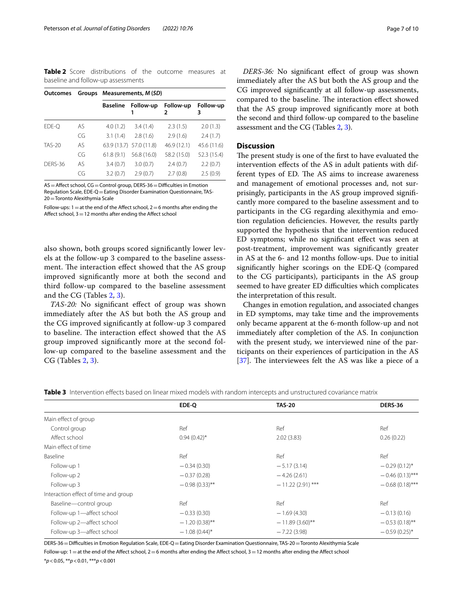<span id="page-6-0"></span>**Table 2** Score distributions of the outcome measures at baseline and follow-up assessments

| Outcomes      |     | Groups Measurements, M (SD) |                         |                |                |
|---------------|-----|-----------------------------|-------------------------|----------------|----------------|
|               |     | <b>Baseline</b>             | Follow-up               | Follow-up<br>2 | Follow-up<br>3 |
| EDE-O         | AS. | 4.0(1.2)                    | 3.4(1.4)                | 2.3(1.5)       | 2.0(1.3)       |
|               | CG  | 3.1(1.4)                    | 2.8(1.6)                | 2.9(1.6)       | 2.4(1.7)       |
| <b>TAS-20</b> | AS  |                             | 63.9 (13.7) 57.0 (11.8) | 46.9 (12.1)    | 45.6 (11.6)    |
|               | CG  | 61.8(9.1)                   | 56.8 (16.0)             | 58.2 (15.0)    | 52.3 (15.4)    |
| DFRS-36       | AS  | 3.4(0.7)                    | 3.0(0.7)                | 2.4(0.7)       | 2.2(0.7)       |
|               | CG  | 3.2(0.7)                    | 2.9(0.7)                | 2.7(0.8)       | 2.5(0.9)       |

 $AS =$  Affect school,  $CG =$ Control group, DERS-36 = Difficulties in Emotion Regulation Scale, EDE-Q=Eating Disorder Examination Questionnaire, TAS-20=Toronto Alexithymia Scale

Follow-ups:  $1=$  at the end of the Affect school,  $2=6$  months after ending the Affect school,  $3=12$  months after ending the Affect school

also shown, both groups scored signifcantly lower levels at the follow-up 3 compared to the baseline assessment. The interaction effect showed that the AS group improved signifcantly more at both the second and third follow-up compared to the baseline assessment and the CG (Tables [2](#page-6-0), [3](#page-6-1)).

*TAS-20:* No signifcant efect of group was shown immediately after the AS but both the AS group and the CG improved signifcantly at follow-up 3 compared to baseline. The interaction effect showed that the AS group improved signifcantly more at the second follow-up compared to the baseline assessment and the CG (Tables [2](#page-6-0), [3](#page-6-1)).

*DERS-36:* No signifcant efect of group was shown immediately after the AS but both the AS group and the CG improved signifcantly at all follow-up assessments, compared to the baseline. The interaction effect showed that the AS group improved signifcantly more at both the second and third follow-up compared to the baseline assessment and the CG (Tables [2,](#page-6-0) [3](#page-6-1)).

# **Discussion**

The present study is one of the first to have evaluated the intervention efects of the AS in adult patients with different types of ED. The AS aims to increase awareness and management of emotional processes and, not surprisingly, participants in the AS group improved signifcantly more compared to the baseline assessment and to participants in the CG regarding alexithymia and emotion regulation defciencies. However, the results partly supported the hypothesis that the intervention reduced ED symptoms; while no signifcant efect was seen at post-treatment, improvement was signifcantly greater in AS at the 6- and 12 months follow-ups. Due to initial signifcantly higher scorings on the EDE-Q (compared to the CG participants), participants in the AS group seemed to have greater ED difficulties which complicates the interpretation of this result.

Changes in emotion regulation, and associated changes in ED symptoms, may take time and the improvements only became apparent at the 6-month follow-up and not immediately after completion of the AS. In conjunction with the present study, we interviewed nine of the participants on their experiences of participation in the AS [[37\]](#page-9-18). The interviewees felt the AS was like a piece of a

<span id="page-6-1"></span>**Table 3** Intervention effects based on linear mixed models with random intercepts and unstructured covariance matrix

|                                      | EDE-O            | <b>TAS-20</b>      | <b>DERS-36</b>    |
|--------------------------------------|------------------|--------------------|-------------------|
| Main effect of group                 |                  |                    |                   |
| Control group                        | Ref              | Ref                | Ref               |
| Affect school                        | $0.94(0.42)$ *   | 2.02(3.83)         | 0.26(0.22)        |
| Main effect of time                  |                  |                    |                   |
| Baseline                             | Ref              | Ref                | Ref               |
| Follow-up 1                          | $-0.34(0.30)$    | $-5.17(3.14)$      | $-0.29(0.12)$ *   |
| Follow-up 2                          | $-0.37(0.28)$    | $-4.26(2.61)$      | $-0.46(0.13)$ *** |
| Follow-up 3                          | $-0.98(0.33)$ ** | $-11.22(2.91)$ *** | $-0.68(0.18)$ *** |
| Interaction effect of time and group |                  |                    |                   |
| Baseline-control group               | Ref              | Ref                | Ref               |
| Follow-up 1-affect school            | $-0.33(0.30)$    | $-1.69(4.30)$      | $-0.13(0.16)$     |
| Follow-up 2-affect school            | $-1.20(0.38)$ ** | $-11.89(3.60)$ **  | $-0.53(0.18)$ **  |
| Follow-up 3-affect school            | $-1.08(0.44)$ *  | $-7.22(3.98)$      | $-0.59(0.25)$ *   |
|                                      |                  |                    |                   |

DERS-36=Difculties in Emotion Regulation Scale, EDE-Q=Eating Disorder Examination Questionnaire, TAS-20=Toronto Alexithymia Scale

Follow-up:  $1 =$ at the end of the Affect school,  $2 = 6$  months after ending the Affect school,  $3 = 12$  months after ending the Affect school

\**p*<0.05, \*\**p*<0.01, \*\*\**p*<0.001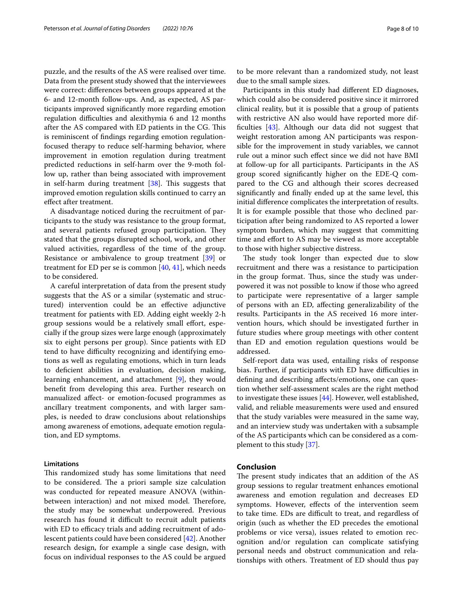puzzle, and the results of the AS were realised over time. Data from the present study showed that the interviewees were correct: diferences between groups appeared at the 6- and 12-month follow-ups. And, as expected, AS participants improved signifcantly more regarding emotion regulation difficulties and alexithymia 6 and 12 months after the AS compared with ED patients in the CG. This is reminiscent of fndings regarding emotion regulationfocused therapy to reduce self-harming behavior, where improvement in emotion regulation during treatment predicted reductions in self-harm over the 9-moth follow up, rather than being associated with improvement in self-harm during treatment  $[38]$  $[38]$  $[38]$ . This suggests that improved emotion regulation skills continued to carry an efect after treatment.

A disadvantage noticed during the recruitment of participants to the study was resistance to the group format, and several patients refused group participation. They stated that the groups disrupted school, work, and other valued activities, regardless of the time of the group. Resistance or ambivalence to group treatment [[39\]](#page-9-20) or treatment for ED per se is common [\[40](#page-9-21), [41\]](#page-9-22), which needs to be considered.

A careful interpretation of data from the present study suggests that the AS or a similar (systematic and structured) intervention could be an efective adjunctive treatment for patients with ED. Adding eight weekly 2-h group sessions would be a relatively small effort, especially if the group sizes were large enough (approximately six to eight persons per group). Since patients with ED tend to have difficulty recognizing and identifying emotions as well as regulating emotions, which in turn leads to defcient abilities in evaluation, decision making, learning enhancement, and attachment [\[9](#page-8-8)], they would beneft from developing this area. Further research on manualized afect- or emotion-focused programmes as ancillary treatment components, and with larger samples, is needed to draw conclusions about relationships among awareness of emotions, adequate emotion regulation, and ED symptoms.

# **Limitations**

This randomized study has some limitations that need to be considered. The a priori sample size calculation was conducted for repeated measure ANOVA (withinbetween interaction) and not mixed model. Therefore, the study may be somewhat underpowered. Previous research has found it difficult to recruit adult patients with ED to efficacy trials and adding recruitment of adolescent patients could have been considered [[42\]](#page-9-23). Another research design, for example a single case design, with focus on individual responses to the AS could be argued to be more relevant than a randomized study, not least due to the small sample sizes.

Participants in this study had diferent ED diagnoses, which could also be considered positive since it mirrored clinical reality, but it is possible that a group of patients with restrictive AN also would have reported more diffculties [[43\]](#page-9-24). Although our data did not suggest that weight restoration among AN participants was responsible for the improvement in study variables, we cannot rule out a minor such efect since we did not have BMI at follow-up for all participants. Participants in the AS group scored signifcantly higher on the EDE-Q compared to the CG and although their scores decreased signifcantly and fnally ended up at the same level, this initial diference complicates the interpretation of results. It is for example possible that those who declined participation after being randomized to AS reported a lower symptom burden, which may suggest that committing time and efort to AS may be viewed as more acceptable to those with higher subjective distress.

The study took longer than expected due to slow recruitment and there was a resistance to participation in the group format. Thus, since the study was underpowered it was not possible to know if those who agreed to participate were representative of a larger sample of persons with an ED, afecting generalizability of the results. Participants in the AS received 16 more intervention hours, which should be investigated further in future studies where group meetings with other content than ED and emotion regulation questions would be addressed.

Self-report data was used, entailing risks of response bias. Further, if participants with ED have difficulties in defning and describing afects/emotions, one can question whether self-assessment scales are the right method to investigate these issues [\[44\]](#page-9-25). However, well established, valid, and reliable measurements were used and ensured that the study variables were measured in the same way, and an interview study was undertaken with a subsample of the AS participants which can be considered as a complement to this study [\[37](#page-9-18)].

# **Conclusion**

The present study indicates that an addition of the AS group sessions to regular treatment enhances emotional awareness and emotion regulation and decreases ED symptoms. However, efects of the intervention seem to take time. EDs are difficult to treat, and regardless of origin (such as whether the ED precedes the emotional problems or vice versa), issues related to emotion recognition and/or regulation can complicate satisfying personal needs and obstruct communication and relationships with others. Treatment of ED should thus pay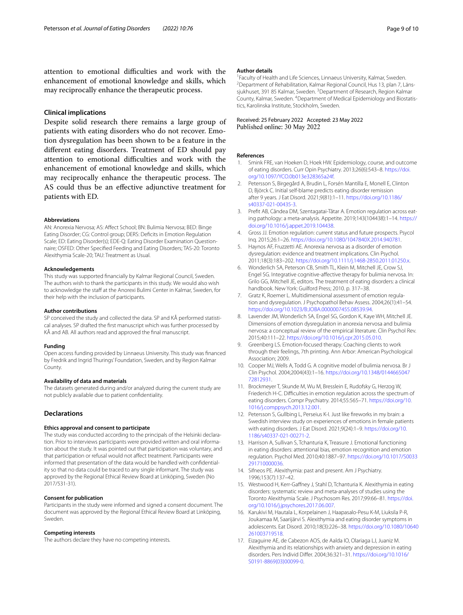attention to emotional difficulties and work with the enhancement of emotional knowledge and skills, which may reciprocally enhance the therapeutic process.

#### **Clinical implications**

Despite solid research there remains a large group of patients with eating disorders who do not recover. Emotion dysregulation has been shown to be a feature in the diferent eating disorders. Treatment of ED should pay attention to emotional difficulties and work with the enhancement of emotional knowledge and skills, which may reciprocally enhance the therapeutic process. The AS could thus be an efective adjunctive treatment for patients with ED.

#### **Abbreviations**

AN: Anorexia Nervosa; AS: Afect School; BN: Bulimia Nervosa; BED: Binge Eating Disorder; CG: Control group; DERS: Defcits in Emotion Regulation Scale; ED: Eating Disorder(s); EDE-Q: Eating Disorder Examination Questionnaire; OSFED: Other Specifed Feeding and Eating Disorders; TAS-20: Toronto Alexithymia Scale-20; TAU: Treatment as Usual.

#### **Acknowledgements**

This study was supported fnancially by Kalmar Regional Council, Sweden. The authors wish to thank the participants in this study. We would also wish to acknowledge the staff at the Anorexi Bulimi Center in Kalmar, Sweden, for their help with the inclusion of participants.

#### **Author contributions**

SP conceived the study and collected the data. SP and KÅ performed statistical analyses. SP drafted the frst manuscript which was further processed by KÅ and AB. All authors read and approved the fnal manuscript.

#### **Funding**

Open access funding provided by Linnaeus University. This study was fnanced by Fredrik and Ingrid Thurings' Foundation, Sweden, and by Region Kalmar County.

#### **Availability of data and materials**

The datasets generated during and/or analyzed during the current study are not publicly available due to patient confdentiality.

#### **Declarations**

#### **Ethics approval and consent to participate**

The study was conducted according to the principals of the Helsinki declaration. Prior to interviews participants were provided written and oral information about the study. It was pointed out that participation was voluntary, and that participation or refusal would not afect treatment. Participants were informed that presentation of the data would be handled with confdentiality so that no data could be traced to any single informant. The study was approved by the Regional Ethical Review Board at Linköping, Sweden (No 2017/531-31).

#### **Consent for publication**

Participants in the study were informed and signed a consent document. The document was approved by the Regional Ethical Review Board at Linköping, Sweden.

#### **Competing interests**

The authors declare they have no competing interests.

#### **Author details**

<sup>1</sup> Faculty of Health and Life Sciences, Linnaeus University, Kalmar, Sweden.<br><sup>2</sup> Department of Behabilitation, Kalmar Begional Council, Hus 13, plan 7, Lä <sup>2</sup> Department of Rehabilitation, Kalmar Regional Council, Hus 13, plan 7, Länssjukhuset, 391 85 Kalmar, Sweden. <sup>3</sup> Department of Research, Region Kalmar County, Kalmar, Sweden. 4 Department of Medical Epidemiology and Biostatistics, Karolinska Institute, Stockholm, Sweden.

# Received: 25 February 2022 Accepted: 23 May 2022<br>Published online: 30 May 2022

#### **References**

- <span id="page-8-0"></span>1. Smink FRE, van Hoeken D, Hoek HW. Epidemiology, course, and outcome of eating disorders. Curr Opin Psychiatry. 2013;26(6):543–8. [https://doi.](https://doi.org/10.1097/YCO.0b013e328365a24f) [org/10.1097/YCO.0b013e328365a24f](https://doi.org/10.1097/YCO.0b013e328365a24f).
- <span id="page-8-1"></span>2. Petersson S, Birgegård A, Brudin L, Forsén Mantilla E, Monell E, Clinton D, Björck C. Initial self-blame predicts eating disorder remission after 9 years. J Eat Disord. 2021;9(81):1–11. [https://doi.org/10.1186/](https://doi.org/10.1186/s40337-021-00435-3) [s40337-021-00435-3](https://doi.org/10.1186/s40337-021-00435-3).
- <span id="page-8-2"></span>3. Preft AB, Cândea DM, Szentagatai-Tătar A. Emotion regulation across eating pathology: a meta-analysis. Appetite. 2019;143(104438):1–14. [https://](https://doi.org/10.1016/j.appet.2019.104438) [doi.org/10.1016/j.appet.2019.104438](https://doi.org/10.1016/j.appet.2019.104438).
- <span id="page-8-3"></span>4. Gross JJ. Emotion regulation: current status and future prospects. Psycol Inq. 2015;26:1–26. <https://doi.org/10.1080/1047840X.2014.940781>.
- <span id="page-8-4"></span>5. Haynos AF, Fruzzetti AE. Anorexia nervosa as a disorder of emotion dysregulation: evidence and treatment implications. Clin Psychol. 2011;18(3):183–202. [https://doi.org/10.1111/j.1468-2850.2011.01250.x.](https://doi.org/10.1111/j.1468-2850.2011.01250.x)
- <span id="page-8-5"></span>6. Wonderlich SA, Peterson CB, Smith TL, Klein M, Mitchell JE, Crow SJ, Engel SG. Integrative cognitive-afective therapy for bulimia nervosa. In: Grilo GG, Mitchell JE, editors. The treatment of eating disorders: a clinical handbook. New York: Guilford Press; 2010. p. 317–38.
- <span id="page-8-6"></span>7. Gratz K, Roemer L. Multidimensional assessment of emotion regulation and dysregulation. J Psychopathol Behav Assess. 2004;26(1):41–54. [https://doi.org/10.1023/B:JOBA.0000007455.08539.94.](https://doi.org/10.1023/B:JOBA.0000007455.08539.94)
- <span id="page-8-7"></span>8. Lavender JM, Wonderlich SA, Engel SG, Gordon K, Kaye WH, Mitchell JE. Dimensions of emotion dysregulation in anorexia nervosa and bulimia nervosa: a conceptual review of the empirical literature. Clin Psychol Rev. 2015;40:111–22.<https://doi.org/10.1016/j.cpr.2015.05.010>.
- <span id="page-8-8"></span>9. Greenberg LS. Emotion-focused therapy. Coaching clients to work through their feelings, 7th printing. Ann Arbor: American Psychological Association; 2009.
- <span id="page-8-9"></span>10. Cooper MJ, Wells A, Todd G. A cognitive model of bulimia nervosa. Br J Clin Psychol. 2004;2004(43):1–16. [https://doi.org/10.1348/0144665047](https://doi.org/10.1348/014466504772812931) [72812931](https://doi.org/10.1348/014466504772812931).
- <span id="page-8-10"></span>11. Brockmeyer T, Skunde M, Wu M, Bresslein E, Rudofsky G, Herzog W, Friederich H-C. Difficulties in emotion regulation across the spectrum of eating disorders. Compr Psychiatry. 2014;55:565–71. [https://doi.org/10.](https://doi.org/10.1016/j.comppsych.2013.12.001) [1016/j.comppsych.2013.12.001.](https://doi.org/10.1016/j.comppsych.2013.12.001)
- <span id="page-8-11"></span>12. Petersson S, Gullbing L, Perseius K-I. Just like freworks in my brain: a Swedish interview study on experiences of emotions in female patients with eating disorders. J Eat Disord. 2021;9(24):1–9. [https://doi.org/10.](https://doi.org/10.1186/s40337-021-00271-2) [1186/s40337-021-00271-2.](https://doi.org/10.1186/s40337-021-00271-2)
- <span id="page-8-12"></span>13. Harrison A, Sullivan S, Tchanturia K, Treasure J. Emotional functioning in eating disorders: attentional bias, emotion recognition and emotion regulation. Psychol Med. 2010;40:1887–97. [https://doi.org/10.1017/S0033](https://doi.org/10.1017/S0033291710000036) [291710000036.](https://doi.org/10.1017/S0033291710000036)
- <span id="page-8-13"></span>14. Sifneos PE. Alexithymia: past and present. Am J Psychiatry. 1996;153(7):137–42.
- <span id="page-8-14"></span>15. Westwood H, Kerr-Gaffney J, Stahl D, Tchanturia K. Alexithymia in eating disorders: systematic review and meta-analyses of studies using the Toronto Alexithymia Scale. J Psychosom Res. 2017;99:66–81. [https://doi.](https://doi.org/10.1016/j.jpsychores.2017.06.007) [org/10.1016/j.jpsychores.2017.06.007.](https://doi.org/10.1016/j.jpsychores.2017.06.007)
- <span id="page-8-15"></span>16. Karukivi M, Hautala L, Korpelainen J, Haapasalo-Pesu K-M, Liuksila P-R, Joukamaa M, Saarijärvi S. Alexithymia and eating disorder symptoms in adolescents. Eat Disord. 2010;18(3):226–38. [https://doi.org/10.1080/10640](https://doi.org/10.1080/10640261003719518) [261003719518.](https://doi.org/10.1080/10640261003719518)
- <span id="page-8-16"></span>17. Eizaguirre AE, de Cabezon AOS, de Aalda IO, Olariaga LJ, Juaniz M. Alexithymia and its relationships with anxiety and depression in eating disorders. Pers Individ Difer. 2004;36:321–31. [https://doi.org/10.1016/](https://doi.org/10.1016/S0191-8869(03)00099-0) [S0191-8869\(03\)00099-0](https://doi.org/10.1016/S0191-8869(03)00099-0).